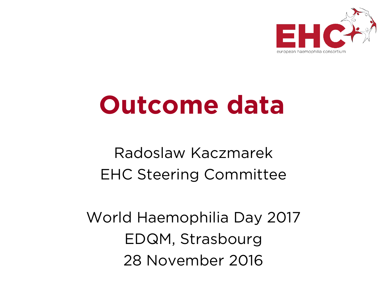

## **Outcome data**

#### Radoslaw Kaczmarek EHC Steering Committee

World Haemophilia Day 2017 EDQM, Strasbourg 28 November 2016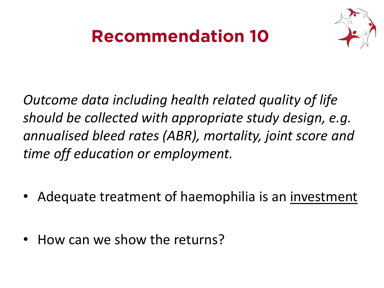### **Recommendation 10**



*Outcome data including health related quality of life should be collected with appropriate study design, e.g. annualised bleed rates (ABR), mortality, joint score and time off education or employment.*

- Adequate treatment of haemophilia is an investment
- How can we show the returns?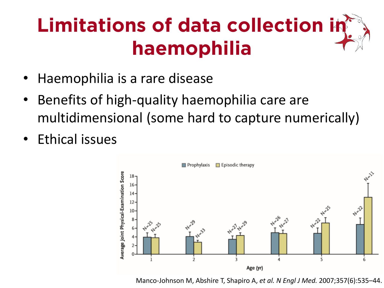## **Limitations of data collection in haemophilia**

- Haemophilia is a rare disease
- Benefits of high-quality haemophilia care are multidimensional (some hard to capture numerically)
- Ethical issues



Manco-Johnson M, Abshire T, Shapiro A, *et al. N Engl J Med.* 2007;357(6):535–44.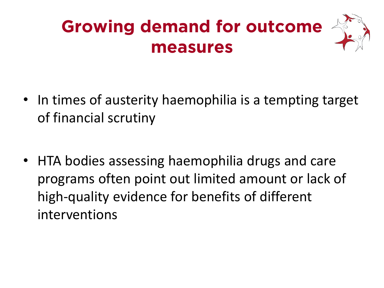## **Growing demand for outcome measures**



- In times of austerity haemophilia is a tempting target of financial scrutiny
- HTA bodies assessing haemophilia drugs and care programs often point out limited amount or lack of high-quality evidence for benefits of different interventions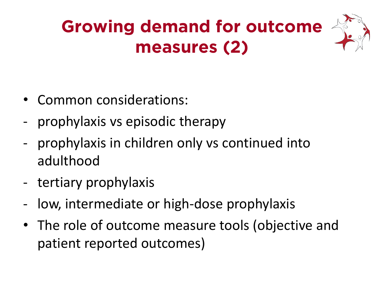## **Growing demand for outcome measures (2)**

- Common considerations:
- prophylaxis vs episodic therapy
- prophylaxis in children only vs continued into adulthood
- tertiary prophylaxis
- low, intermediate or high-dose prophylaxis
- The role of outcome measure tools (objective and patient reported outcomes)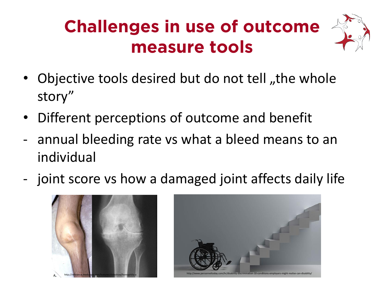## **Challenges in use of outcome measure tools**



- Objective tools desired but do not tell "the whole story"
- Different perceptions of outcome and benefit
- annual bleeding rate vs what a bleed means to an individual
- joint score vs how a damaged joint affects daily life



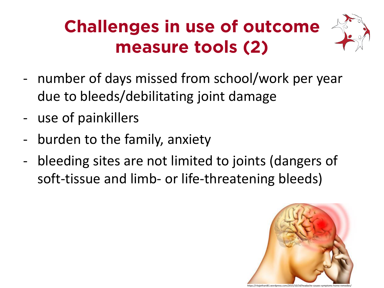## **Challenges in use of outcome measure tools (2)**



- use of painkillers
- burden to the family, anxiety
- bleeding sites are not limited to joints (dangers of soft-tissue and limb- or life-threatening bleeds)



https://ritajethani81.wordpress.com/2015/10/14/headache-causes-symptoms-home-remedies/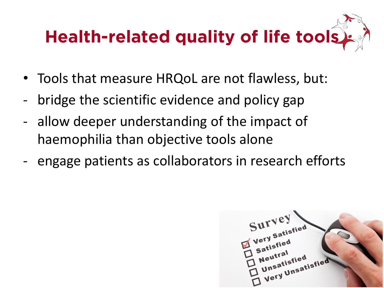## **Health-related quality of life tools**

- Tools that measure HRQoL are not flawless, but:
- bridge the scientific evidence and policy gap
- allow deeper understanding of the impact of haemophilia than objective tools alone
- engage patients as collaborators in research efforts

utra<sub>isfied</sub> eutratisfied<br>Unsatisfied<br>Very Unsatisfied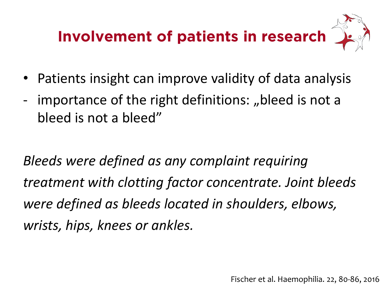## **Involvement of patients in research**

- Patients insight can improve validity of data analysis
- importance of the right definitions: "bleed is not a bleed is not a bleed"

*Bleeds were defined as any complaint requiring treatment with clotting factor concentrate. Joint bleeds were defined as bleeds located in shoulders, elbows, wrists, hips, knees or ankles.*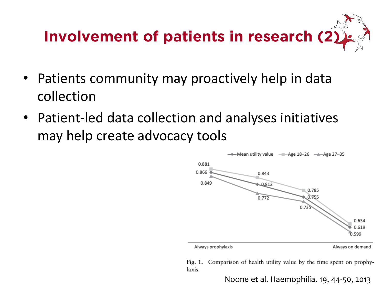

- Patients community may proactively help in data collection
- Patient-led data collection and analyses initiatives may help create advocacy tools



Fig. 1. Comparison of health utility value by the time spent on prophylaxis.

Noone et al. Haemophilia. 19, 44-50, 2013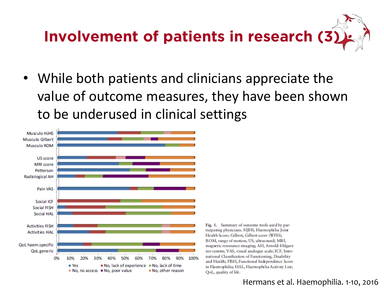# **Involvement of patients in research (3)**

• While both patients and clinicians appreciate the value of outcome measures, they have been shown to be underused in clinical settings



#### Hermans et al. Haemophilia. 1-10, 2016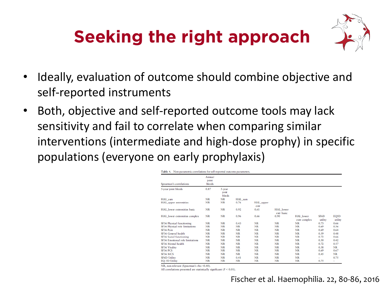## **Seeking the right approach**



- Ideally, evaluation of outcome should combine objective and self-reported instruments
- Both, objective and self-reported outcome tools may lack sensitivity and fail to correlate when comparing similar interventions (intermediate and high-dose prophy) in specific populations (everyone on early prophylaxis)

Table 4. Non-parametric correlations for self-reported outcome parameters.

| Spearman's correlations                | Annual<br>joint<br>bleeds |                          |           |                   |                                |                           |                 |                 |
|----------------------------------------|---------------------------|--------------------------|-----------|-------------------|--------------------------------|---------------------------|-----------------|-----------------|
| 5-year joint bleeds                    | 0.87                      | 5-year<br>joint<br>blœds |           |                   |                                |                           |                 |                 |
| HAL sum                                | <b>NR</b>                 | <b>NR</b>                | HAL sum   |                   |                                |                           |                 |                 |
| <b>HAL</b> upper extremities           | NR                        | <b>NR</b>                | 0.76      | HAL_upper<br>extr |                                |                           |                 |                 |
| HAL lower extremities basic            | <b>NR</b>                 | <b>NR</b>                | 0.92      | 0.61              | <b>HAL</b> lower<br>extr basic |                           |                 |                 |
| HAL_lower extremities complex          | <b>NR</b>                 | <b>NR</b>                | 0.96      | 0.66              | 0.90                           | HAL lower<br>extr complex | SF6D<br>utility | EQ5D<br>utility |
| SF36 Physical functioning              | NR                        | <b>NR</b>                | 0.43      | <b>NR</b>         | <b>NR</b>                      | NR                        | 0.73            | 0.66            |
| SF36 Physical role limitations         | <b>NR</b>                 | <b>NR</b>                | <b>NR</b> | <b>NR</b>         | <b>NR</b>                      | <b>NR</b>                 | 0.69            | 0.56            |
| SF36 Pain                              | NR                        | <b>NR</b>                | <b>NR</b> | <b>NR</b>         | <b>NR</b>                      | <b>NR</b>                 | 0.69            | 0.64            |
| SF36 General health                    | <b>NR</b>                 | <b>NR</b>                | <b>NR</b> | <b>NR</b>         | <b>NR</b>                      | <b>NR</b>                 | 0.59            | 0.48            |
| SF36 Social functioning                | <b>NR</b>                 | <b>NR</b>                | <b>NR</b> | <b>NR</b>         | <b>NR</b>                      | <b>NR</b>                 | 0.72            | 0.66            |
| <b>SF36 Emotional role limitations</b> | <b>NR</b>                 | <b>NR</b>                | <b>NR</b> | <b>NR</b>         | <b>NR</b>                      | <b>NR</b>                 | 0.50            | 0.42            |
| SF36 Mental health                     | NR                        | <b>NR</b>                | <b>NR</b> | <b>NR</b>         | <b>NR</b>                      | <b>NR</b>                 | 0.72            | 0.57            |
| <b>SF36 Vitality</b>                   | NR                        | <b>NR</b>                | <b>NR</b> | <b>NR</b>         | <b>NR</b>                      | <b>NR</b>                 | 0.58            | <b>NR</b>       |
| SF36 PCS                               | <b>NR</b>                 | <b>NR</b>                | <b>NR</b> | <b>NR</b>         | <b>NR</b>                      | <b>NR</b>                 | 0.69            | 0.67            |
| SF36 MCS                               | <b>NR</b>                 | <b>NR</b>                | NR        | <b>NR</b>         | <b>NR</b>                      | <b>NR</b>                 | 0.45            | NR              |
| SF6D Utility                           | <b>NR</b>                 | <b>NR</b>                | 0.41      | <b>NR</b>         | <b>NR</b>                      | <b>NR</b>                 | -               | 0.75            |
| <b>EO-5D Utility</b>                   | NR                        | <b>NR</b>                | NR        | <b>NR</b>         | <b>NR</b>                      | NR                        | 0.75            | -               |

NR, non-relevant (Spearman's rho <0.40).

All correlations presented are statistically significant ( $P < 0.01$ ).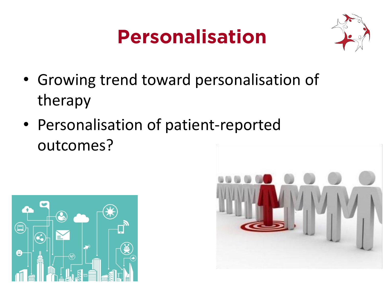## **Personalisation**



- Growing trend toward personalisation of therapy
- Personalisation of patient-reported outcomes?



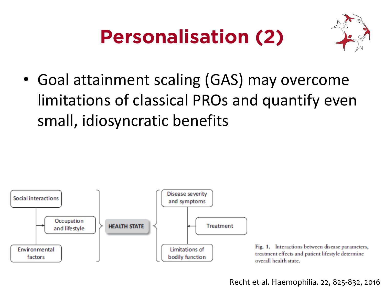## **Personalisation (2)**



• Goal attainment scaling (GAS) may overcome limitations of classical PROs and quantify even small, idiosyncratic benefits



Recht et al. Haemophilia. 22, 825-832, 2016